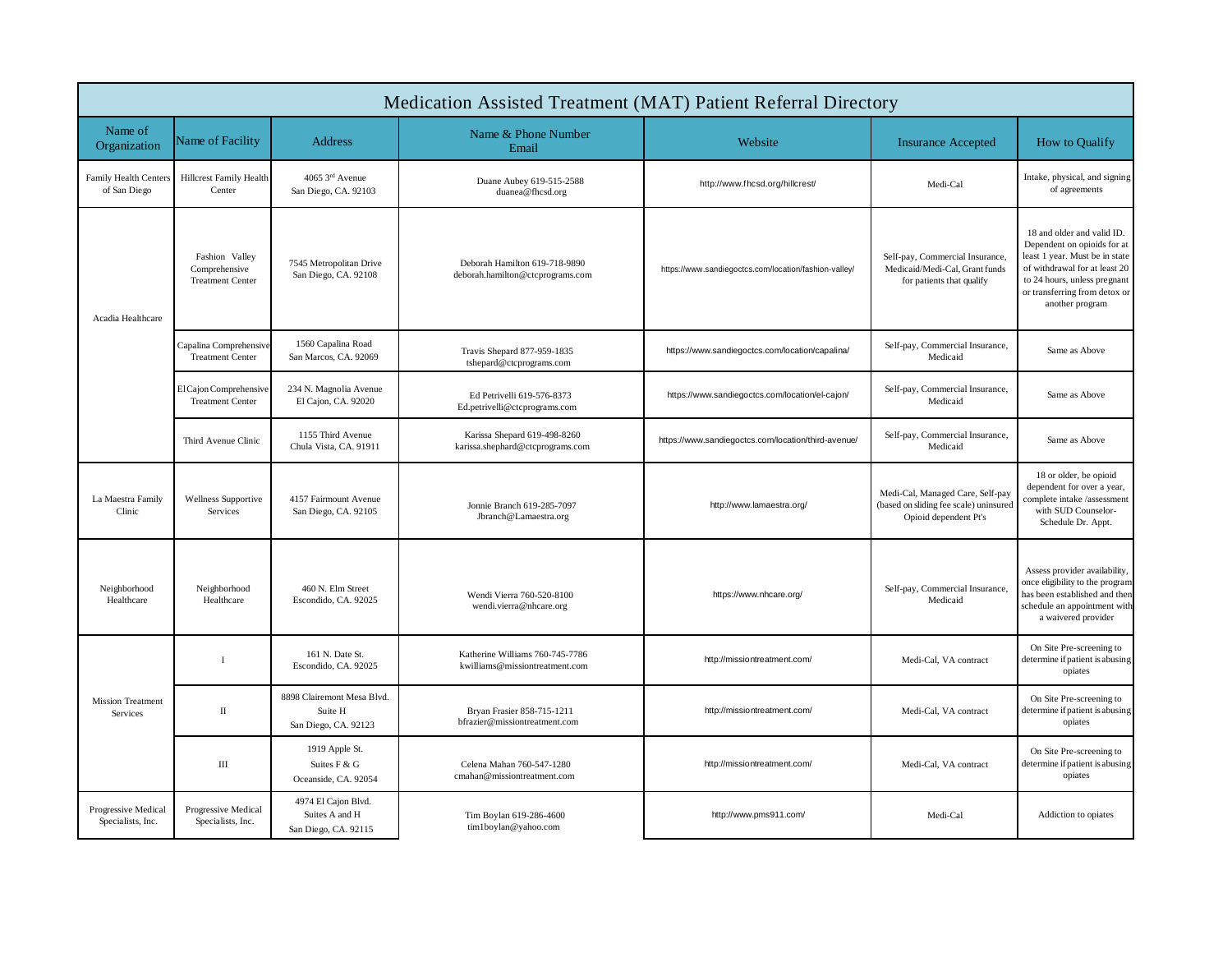| Medication Assisted Treatment (MAT) Patient Referral Directory |                                                            |                                                               |                                                                   |                                                       |                                                                                                     |                                                                                                                                                                                                                  |  |  |  |  |
|----------------------------------------------------------------|------------------------------------------------------------|---------------------------------------------------------------|-------------------------------------------------------------------|-------------------------------------------------------|-----------------------------------------------------------------------------------------------------|------------------------------------------------------------------------------------------------------------------------------------------------------------------------------------------------------------------|--|--|--|--|
| Name of<br>Organization                                        | Name of Facility                                           | Address                                                       | Name & Phone Number<br>Email                                      | Website                                               | <b>Insurance Accepted</b>                                                                           | How to Qualify                                                                                                                                                                                                   |  |  |  |  |
| <b>Family Health Centers</b><br>of San Diego                   | <b>Hillcrest Family Health</b><br>Center                   | 4065 3rd Avenue<br>San Diego, CA. 92103                       | Duane Aubey 619-515-2588<br>duanea@fhcsd.org                      | http://www.fhcsd.org/hillcrest/                       | Medi-Cal                                                                                            | Intake, physical, and signing<br>of agreements                                                                                                                                                                   |  |  |  |  |
| Acadia Healthcare                                              | Fashion Valley<br>Comprehensive<br><b>Treatment Center</b> | 7545 Metropolitan Drive<br>San Diego, CA. 92108               | Deborah Hamilton 619-718-9890<br>deborah.hamilton@ctcprograms.com | https://www.sandiegoctcs.com/location/fashion-valley/ | Self-pay, Commercial Insurance,<br>Medicaid/Medi-Cal, Grant funds<br>for patients that qualify      | 18 and older and valid ID.<br>Dependent on opioids for at<br>least 1 year. Must be in state<br>of withdrawal for at least 20<br>to 24 hours, unless pregnant<br>or transferring from detox or<br>another program |  |  |  |  |
|                                                                | Capalina Comprehensive<br><b>Treatment Center</b>          | 1560 Capalina Road<br>San Marcos, CA. 92069                   | Travis Shepard 877-959-1835<br>tshepard@ctcprograms.com           | https://www.sandiegoctcs.com/location/capalina/       | Self-pay, Commercial Insurance,<br>Medicaid                                                         | Same as Above                                                                                                                                                                                                    |  |  |  |  |
|                                                                | El Cajon Comprehensive<br><b>Treatment Center</b>          | 234 N. Magnolia Avenue<br>El Cajon, CA. 92020                 | Ed Petrivelli 619-576-8373<br>Ed.petrivelli@ctcprograms.com       | https://www.sandiegoctcs.com/location/el-cajon/       | Self-pay, Commercial Insurance,<br>Medicaid                                                         | Same as Above                                                                                                                                                                                                    |  |  |  |  |
|                                                                | Third Avenue Clinic                                        | 1155 Third Avenue<br>Chula Vista, CA. 91911                   | Karissa Shepard 619-498-8260<br>karissa.shephard@ctcprograms.com  | https://www.sandiegoctcs.com/location/third-avenue/   | Self-pay, Commercial Insurance,<br>Medicaid                                                         | Same as Above                                                                                                                                                                                                    |  |  |  |  |
| La Maestra Family<br>Clinic                                    | <b>Wellness Supportive</b><br>Services                     | 4157 Fairmount Avenue<br>San Diego, CA. 92105                 | Jonnie Branch 619-285-7097<br>Jbranch@Lamaestra.org               | http://www.lamaestra.org/                             | Medi-Cal, Managed Care, Self-pay<br>(based on sliding fee scale) uninsured<br>Opioid dependent Pt's | 18 or older, be opioid<br>dependent for over a year,<br>complete intake /assessment<br>with SUD Counselor-<br>Schedule Dr. Appt.                                                                                 |  |  |  |  |
| Neighborhood<br>Healthcare                                     | Neighborhood<br>Healthcare                                 | 460 N. Elm Street<br>Escondido, CA. 92025                     | Wendi Vierra 760-520-8100<br>wendi.vierra@nhcare.org              | https://www.nhcare.org/                               | Self-pay, Commercial Insurance,<br>Medicaid                                                         | Assess provider availability,<br>once eligibility to the program<br>has been established and then<br>schedule an appointment with<br>a waivered provider                                                         |  |  |  |  |
| <b>Mission Treatment</b><br>Services                           | $\mathbf{I}$                                               | 161 N. Date St.<br>Escondido, CA. 92025                       | Katherine Williams 760-745-7786<br>kwilliams@missiontreatment.com | http://missiontreatment.com/                          | Medi-Cal, VA contract                                                                               | On Site Pre-screening to<br>determine if patient is abusing<br>opiates                                                                                                                                           |  |  |  |  |
|                                                                | $\rm II$                                                   | 8898 Clairemont Mesa Blvd.<br>Suite H<br>San Diego, CA. 92123 | Bryan Frasier 858-715-1211<br>bfrazier@missiontreatment.com       | http://missiontreatment.com/                          | Medi-Cal, VA contract                                                                               | On Site Pre-screening to<br>determine if patient is abusing<br>opiates                                                                                                                                           |  |  |  |  |
|                                                                | Ш                                                          | 1919 Apple St.<br>Suites F & G<br>Oceanside, CA. 92054        | Celena Mahan 760-547-1280<br>cmahan@missiontreatment.com          | http://missiontreatment.com/                          | Medi-Cal, VA contract                                                                               | On Site Pre-screening to<br>determine if patient is abusing<br>opiates                                                                                                                                           |  |  |  |  |
| Progressive Medical<br>Specialists, Inc.                       | Progressive Medical<br>Specialists, Inc.                   | 4974 El Cajon Blvd.<br>Suites A and H<br>San Diego, CA. 92115 | Tim Boylan 619-286-4600<br>tim1boylan@yahoo.com                   | http://www.pms911.com/                                | Medi-Cal                                                                                            | Addiction to opiates                                                                                                                                                                                             |  |  |  |  |